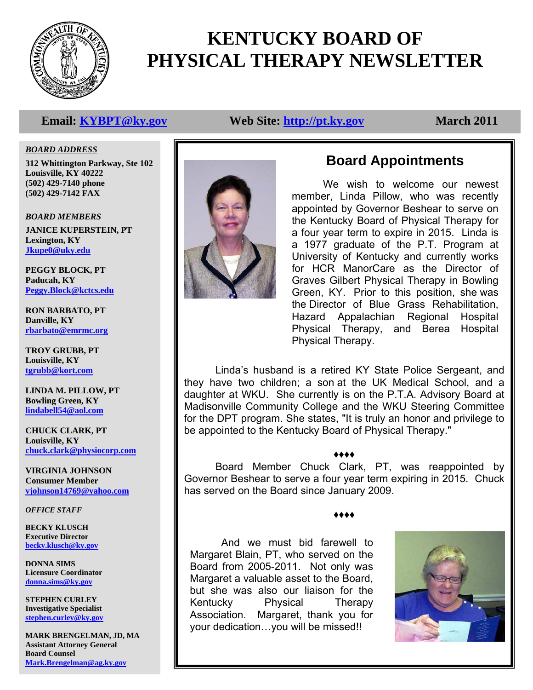

# **KENTUCKY BOARD OF PHYSICAL THERAPY NEWSLETTER**

# **Email:** KYBPT@ky.gov Web Site: http://pt.ky.gov March 2011

*BOARD ADDRESS*

**312 Whittington Parkway, Ste 102 Louisville, KY 40222 (502) 429-7140 phone (502) 429-7142 FAX** 

*BOARD MEMBERS* **JANICE KUPERSTEIN, PT Lexington, KY Jkupe0@uky.edu**

**PEGGY BLOCK, PT Paducah, KY Peggy.Block@kctcs.edu**

**RON BARBATO, PT Danville, KY rbarbato@emrmc.org**

**TROY GRUBB, PT Louisville, KY tgrubb@kort.com**

**LINDA M. PILLOW, PT Bowling Green, KY lindabell54@aol.com**

**CHUCK CLARK, PT Louisville, KY chuck.clark@physiocorp.com**

**VIRGINIA JOHNSON Consumer Member vjohnson14769@yahoo.com**

### *OFFICE STAFF*

**BECKY KLUSCH Executive Director becky.klusch@ky.gov**

**DONNA SIMS Licensure Coordinator donna.sims@ky.gov**

**STEPHEN CURLEY Investigative Specialist stephen.curley@ky.gov**

**MARK BRENGELMAN, JD, MA Assistant Attorney General Board Counsel Mark.Brengelman@ag.ky.gov**



# **Board Appointments**

 the Director of Blue Grass Rehabilitation, We wish to welcome our newest member, Linda Pillow, who was recently appointed by Governor Beshear to serve on the Kentucky Board of Physical Therapy for a four year term to expire in 2015. Linda is a 1977 graduate of the P.T. Program at University of Kentucky and currently works for HCR ManorCare as the Director of Graves Gilbert Physical Therapy in Bowling Green, KY. Prior to this position, she was Hazard Appalachian Regional Hospital Physical Therapy, and Berea Hospital Physical Therapy.

Linda's husband is a retired KY State Police Sergeant, and they have two children; a son at the UK Medical School, and a daughter at WKU. She currently is on the P.T.A. Advisory Board at Madisonville Community College and the WKU Steering Committee for the DPT program. She states, "It is truly an honor and privilege to be appointed to the Kentucky Board of Physical Therapy."

### ♦♦♦♦

 Board Member Chuck Clark, PT, was reappointed by Governor Beshear to serve a four year term expiring in 2015. Chuck has served on the Board since January 2009.

♦♦♦♦

 And we must bid farewell to Margaret Blain, PT, who served on the Board from 2005-2011. Not only was Margaret a valuable asset to the Board, but she was also our liaison for the Kentucky Physical Therapy Association. Margaret, thank you for your dedication…you will be missed!!

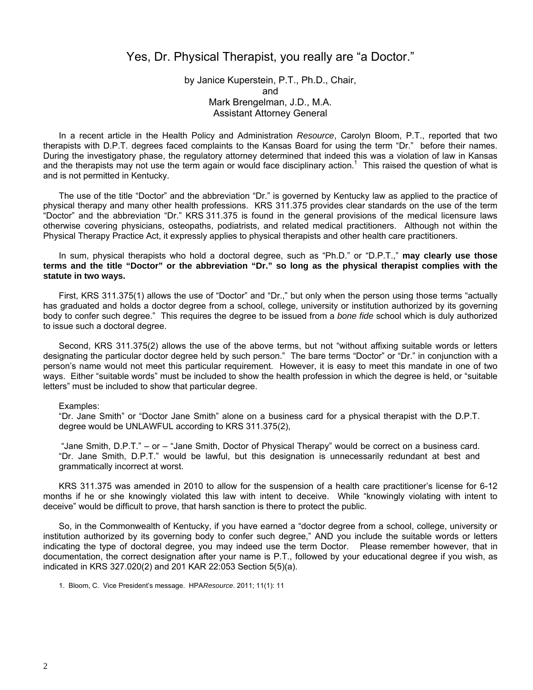## Yes, Dr. Physical Therapist, you really are "a Doctor."

### by Janice Kuperstein, P.T., Ph.D., Chair, and Mark Brengelman, J.D., M.A. Assistant Attorney General

In a recent article in the Health Policy and Administration *Resource*, Carolyn Bloom, P.T., reported that two therapists with D.P.T. degrees faced complaints to the Kansas Board for using the term "Dr." before their names. During the investigatory phase, the regulatory attorney determined that indeed this was a violation of law in Kansas and the therapists may not use the term again or would face disciplinary action.<sup>1</sup> This raised the question of what is and is not permitted in Kentucky.

The use of the title "Doctor" and the abbreviation "Dr." is governed by Kentucky law as applied to the practice of physical therapy and many other health professions. KRS 311.375 provides clear standards on the use of the term "Doctor" and the abbreviation "Dr." KRS 311.375 is found in the general provisions of the medical licensure laws otherwise covering physicians, osteopaths, podiatrists, and related medical practitioners. Although not within the Physical Therapy Practice Act, it expressly applies to physical therapists and other health care practitioners.

#### In sum, physical therapists who hold a doctoral degree, such as "Ph.D." or "D.P.T.," **may clearly use those terms and the title "Doctor" or the abbreviation "Dr." so long as the physical therapist complies with the statute in two ways.**

First, KRS 311.375(1) allows the use of "Doctor" and "Dr.," but only when the person using those terms "actually has graduated and holds a doctor degree from a school, college, university or institution authorized by its governing body to confer such degree." This requires the degree to be issued from a *bone fide* school which is duly authorized to issue such a doctoral degree.

Second, KRS 311.375(2) allows the use of the above terms, but not "without affixing suitable words or letters designating the particular doctor degree held by such person." The bare terms "Doctor" or "Dr." in conjunction with a person's name would not meet this particular requirement. However, it is easy to meet this mandate in one of two ways. Either "suitable words" must be included to show the health profession in which the degree is held, or "suitable letters" must be included to show that particular degree.

#### Examples:

"Dr. Jane Smith" or "Doctor Jane Smith" alone on a business card for a physical therapist with the D.P.T. degree would be UNLAWFUL according to KRS 311.375(2),

 "Jane Smith, D.P.T." – or – "Jane Smith, Doctor of Physical Therapy" would be correct on a business card. "Dr. Jane Smith, D.P.T." would be lawful, but this designation is unnecessarily redundant at best and grammatically incorrect at worst.

KRS 311.375 was amended in 2010 to allow for the suspension of a health care practitioner's license for 6-12 months if he or she knowingly violated this law with intent to deceive. While "knowingly violating with intent to deceive" would be difficult to prove, that harsh sanction is there to protect the public.

So, in the Commonwealth of Kentucky, if you have earned a "doctor degree from a school, college, university or institution authorized by its governing body to confer such degree," AND you include the suitable words or letters indicating the type of doctoral degree, you may indeed use the term Doctor. Please remember however, that in documentation, the correct designation after your name is P.T., followed by your educational degree if you wish, as indicated in KRS 327.020(2) and 201 KAR 22:053 Section 5(5)(a).

1. Bloom, C. Vice President's message. HPA*Resource*. 2011; 11(1): 11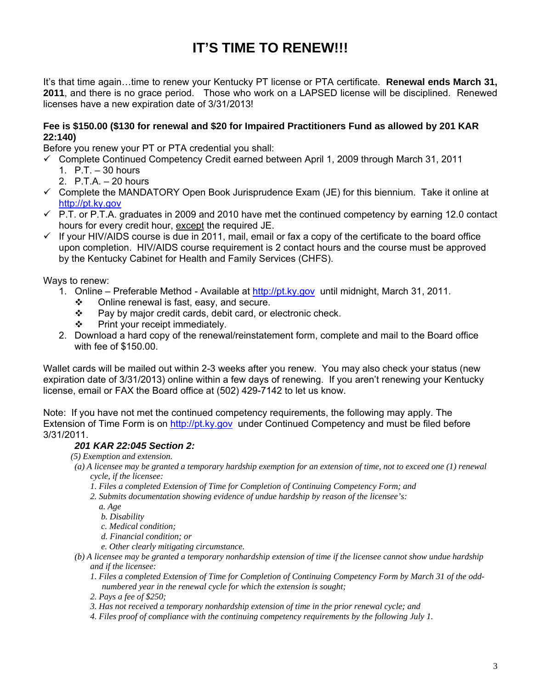# **IT'S TIME TO RENEW!!!**

It's that time again…time to renew your Kentucky PT license or PTA certificate. **Renewal ends March 31, 2011**, and there is no grace period. Those who work on a LAPSED license will be disciplined. Renewed licenses have a new expiration date of 3/31/2013!

### **Fee is \$150.00 (\$130 for renewal and \$20 for Impaired Practitioners Fund as allowed by 201 KAR 22:140)**

Before you renew your PT or PTA credential you shall:

- $\checkmark$  Complete Continued Competency Credit earned between April 1, 2009 through March 31, 2011
	- 1. P.T. 30 hours
	- 2. P.T.A. 20 hours
- $\checkmark$  Complete the MANDATORY Open Book Jurisprudence Exam (JE) for this biennium. Take it online at http://pt.ky.gov
- $\checkmark$  P.T. or P.T.A. graduates in 2009 and 2010 have met the continued competency by earning 12.0 contact hours for every credit hour, except the required JE.
- $\checkmark$  If your HIV/AIDS course is due in 2011, mail, email or fax a copy of the certificate to the board office upon completion. HIV/AIDS course requirement is 2 contact hours and the course must be approved by the Kentucky Cabinet for Health and Family Services (CHFS).

Ways to renew:

- 1. Online Preferable Method Available at http://pt.ky.gov until midnight, March 31, 2011.
	- $\div$  Online renewal is fast, easy, and secure.
	- $\div$  Pay by major credit cards, debit card, or electronic check.
	- $\div$  Print your receipt immediately.
- 2. Download a hard copy of the renewal/reinstatement form, complete and mail to the Board office with fee of \$150.00.

Wallet cards will be mailed out within 2-3 weeks after you renew. You may also check your status (new expiration date of 3/31/2013) online within a few days of renewing. If you aren't renewing your Kentucky license, email or FAX the Board office at (502) 429-7142 to let us know.

Note: If you have not met the continued competency requirements, the following may apply. The Extension of Time Form is on http://pt.ky.gov under Continued Competency and must be filed before 3/31/2011.

### *201 KAR 22:045 Section 2:*

- *(5) Exemption and extension.*
- *(a) A licensee may be granted a temporary hardship exemption for an extension of time, not to exceed one (1) renewal cycle, if the licensee:* 
	- *1. Files a completed Extension of Time for Completion of Continuing Competency Form; and*
	- *2. Submits documentation showing evidence of undue hardship by reason of the licensee's:* 
		- *a. Age*

 *b. Disability* 

- *c. Medical condition;*
- *d. Financial condition; or*
- *e. Other clearly mitigating circumstance.*
- *(b) A licensee may be granted a temporary nonhardship extension of time if the licensee cannot show undue hardship and if the licensee:* 
	- *1. Files a completed Extension of Time for Completion of Continuing Competency Form by March 31 of the oddnumbered year in the renewal cycle for which the extension is sought;*
	- *2. Pays a fee of \$250;*
	- *3. Has not received a temporary nonhardship extension of time in the prior renewal cycle; and*
	- *4. Files proof of compliance with the continuing competency requirements by the following July 1.*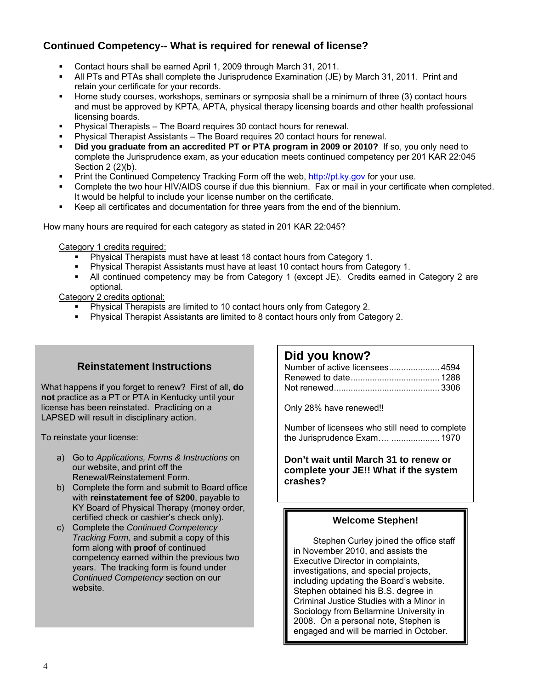# **Continued Competency-- What is required for renewal of license?**

- Contact hours shall be earned April 1, 2009 through March 31, 2011.
- All PTs and PTAs shall complete the Jurisprudence Examination (JE) by March 31, 2011. Print and retain your certificate for your records.
- Home study courses, workshops, seminars or symposia shall be a minimum of three (3) contact hours and must be approved by KPTA, APTA, physical therapy licensing boards and other health professional licensing boards.
- Physical Therapists The Board requires 30 contact hours for renewal.
- Physical Therapist Assistants The Board requires 20 contact hours for renewal.
- **Did you graduate from an accredited PT or PTA program in 2009 or 2010?** If so, you only need to complete the Jurisprudence exam, as your education meets continued competency per 201 KAR 22:045 Section 2 (2)(b).
- Print the Continued Competency Tracking Form off the web, http://pt.ky.gov for your use.
- Complete the two hour HIV/AIDS course if due this biennium. Fax or mail in your certificate when completed. It would be helpful to include your license number on the certificate.
- Keep all certificates and documentation for three years from the end of the biennium.

How many hours are required for each category as stated in 201 KAR 22:045?

Category 1 credits required:

- Physical Therapists must have at least 18 contact hours from Category 1.
- Physical Therapist Assistants must have at least 10 contact hours from Category 1.
- All continued competency may be from Category 1 (except JE). Credits earned in Category 2 are optional.

Category 2 credits optional:

- Physical Therapists are limited to 10 contact hours only from Category 2.
- Physical Therapist Assistants are limited to 8 contact hours only from Category 2.

# **Reinstatement Instructions**

What happens if you forget to renew? First of all, **do not** practice as a PT or PTA in Kentucky until your license has been reinstated. Practicing on a LAPSED will result in disciplinary action.

To reinstate your license:

- a) Go to *Applications, Forms & Instructions* on our website, and print off the Renewal/Reinstatement Form.
- b) Complete the form and submit to Board office with **reinstatement fee of \$200**, payable to KY Board of Physical Therapy (money order, certified check or cashier's check only).
- c) Complete the *Continued Competency Tracking Form,* and submit a copy of this form along with **proof** of continued competency earned within the previous two years. The tracking form is found under *Continued Competency* section on our website.

## **Did you know?**

Only 28% have renewed!!

Number of licensees who still need to complete the Jurisprudence Exam…. .................... 1970

**Don't wait until March 31 to renew or complete your JE!! What if the system crashes?** 

### **Welcome Stephen!**

 Stephen Curley joined the office staff in November 2010, and assists the Executive Director in complaints, investigations, and special projects, including updating the Board's website. Stephen obtained his B.S. degree in Criminal Justice Studies with a Minor in Sociology from Bellarmine University in 2008. On a personal note, Stephen is engaged and will be married in October.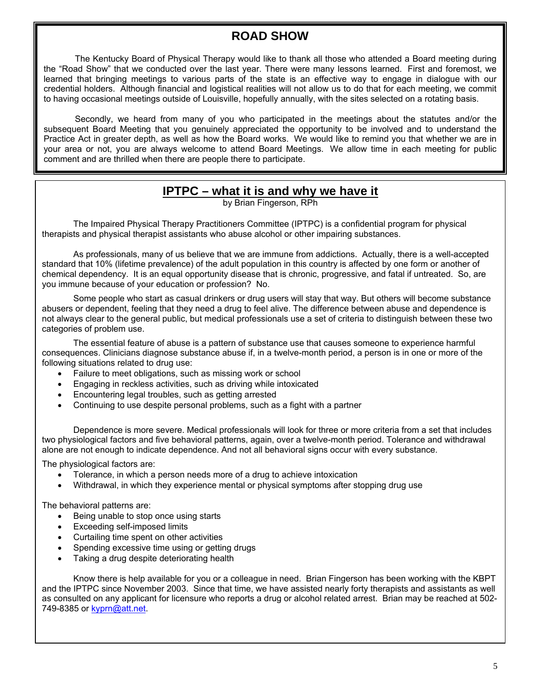# **ROAD SHOW**

The Kentucky Board of Physical Therapy would like to thank all those who attended a Board meeting during the "Road Show" that we conducted over the last year. There were many lessons learned. First and foremost, we learned that bringing meetings to various parts of the state is an effective way to engage in dialogue with our credential holders. Although financial and logistical realities will not allow us to do that for each meeting, we commit to having occasional meetings outside of Louisville, hopefully annually, with the sites selected on a rotating basis.

 Secondly, we heard from many of you who participated in the meetings about the statutes and/or the subsequent Board Meeting that you genuinely appreciated the opportunity to be involved and to understand the Practice Act in greater depth, as well as how the Board works. We would like to remind you that whether we are in your area or not, you are always welcome to attend Board Meetings. We allow time in each meeting for public comment and are thrilled when there are people there to participate.

# **IPTPC – what it is and why we have it**

by Brian Fingerson, RPh

The Impaired Physical Therapy Practitioners Committee (IPTPC) is a confidential program for physical therapists and physical therapist assistants who abuse alcohol or other impairing substances.

 As professionals, many of us believe that we are immune from addictions. Actually, there is a well-accepted standard that 10% (lifetime prevalence) of the adult population in this country is affected by one form or another of chemical dependency. It is an equal opportunity disease that is chronic, progressive, and fatal if untreated. So, are you immune because of your education or profession? No.

 Some people who start as casual drinkers or drug users will stay that way. But others will become substance abusers or dependent, feeling that they need a drug to feel alive. The difference between abuse and dependence is not always clear to the general public, but medical professionals use a set of criteria to distinguish between these two categories of problem use.

 The essential feature of abuse is a pattern of substance use that causes someone to experience harmful consequences. Clinicians diagnose substance abuse if, in a twelve-month period, a person is in one or more of the following situations related to drug use:

- Failure to meet obligations, such as missing work or school
- Engaging in reckless activities, such as driving while intoxicated
- Encountering legal troubles, such as getting arrested
- Continuing to use despite personal problems, such as a fight with a partner

 Dependence is more severe. Medical professionals will look for three or more criteria from a set that includes two physiological factors and five behavioral patterns, again, over a twelve-month period. Tolerance and withdrawal alone are not enough to indicate dependence. And not all behavioral signs occur with every substance.

The physiological factors are:

- Tolerance, in which a person needs more of a drug to achieve intoxication
- Withdrawal, in which they experience mental or physical symptoms after stopping drug use

The behavioral patterns are:

- Being unable to stop once using starts
- Exceeding self-imposed limits
- Curtailing time spent on other activities
- Spending excessive time using or getting drugs
- Taking a drug despite deteriorating health

 Know there is help available for you or a colleague in need. Brian Fingerson has been working with the KBPT and the IPTPC since November 2003. Since that time, we have assisted nearly forty therapists and assistants as well as consulted on any applicant for licensure who reports a drug or alcohol related arrest. Brian may be reached at 502- 749-8385 or kyprn@att.net.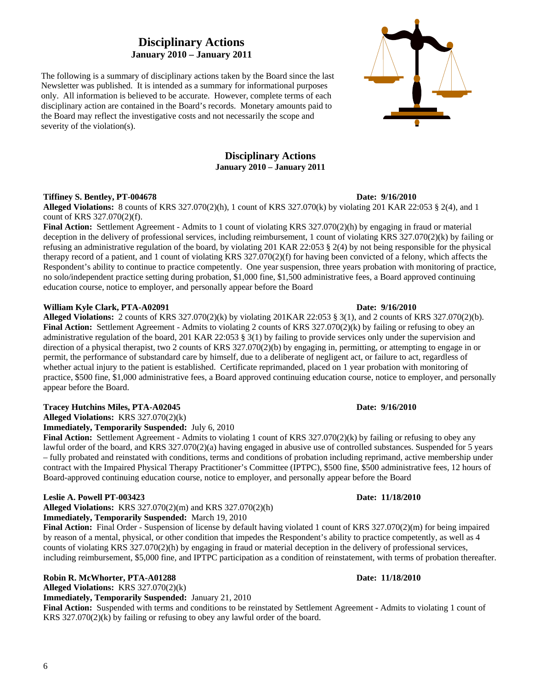# **Disciplinary Actions January 2010 – January 2011**

The following is a summary of disciplinary actions taken by the Board since the last Newsletter was published. It is intended as a summary for informational purposes only. All information is believed to be accurate. However, complete terms of each disciplinary action are contained in the Board's records. Monetary amounts paid to the Board may reflect the investigative costs and not necessarily the scope and severity of the violation(s).

### **Disciplinary Actions January 2010 – January 2011**

#### **Tiffiney S. Bentley, PT-004678** Date: 9/16/2010

**Alleged Violations:** 8 counts of KRS 327.070(2)(h), 1 count of KRS 327.070(k) by violating 201 KAR 22:053 § 2(4), and 1 count of KRS 327.070(2)(f).

**Final Action:** Settlement Agreement - Admits to 1 count of violating KRS 327.070(2)(h) by engaging in fraud or material deception in the delivery of professional services, including reimbursement, 1 count of violating KRS 327.070(2)(k) by failing or refusing an administrative regulation of the board, by violating 201 KAR 22:053 § 2(4) by not being responsible for the physical therapy record of a patient, and 1 count of violating KRS 327.070(2)(f) for having been convicted of a felony, which affects the Respondent's ability to continue to practice competently. One year suspension, three years probation with monitoring of practice, no solo/independent practice setting during probation, \$1,000 fine, \$1,500 administrative fees, a Board approved continuing education course, notice to employer, and personally appear before the Board

#### **William Kyle Clark, PTA-A02091 Date: 9/16/2010 Date: 9/16/2010**

**Alleged Violations:** 2 counts of KRS 327.070(2)(k) by violating 201KAR 22:053 § 3(1), and 2 counts of KRS 327.070(2)(b). **Final Action:** Settlement Agreement - Admits to violating 2 counts of KRS 327.070(2)(k) by failing or refusing to obey an administrative regulation of the board, 201 KAR 22:053 § 3(1) by failing to provide services only under the supervision and direction of a physical therapist, two 2 counts of KRS 327.070(2)(b) by engaging in, permitting, or attempting to engage in or permit, the performance of substandard care by himself, due to a deliberate of negligent act, or failure to act, regardless of whether actual injury to the patient is established. Certificate reprimanded, placed on 1 year probation with monitoring of practice, \$500 fine, \$1,000 administrative fees, a Board approved continuing education course, notice to employer, and personally appear before the Board.

#### **Tracey Hutchins Miles, PTA-A02045 Date: 9/16/2010**

**Alleged Violations:** KRS 327.070(2)(k)

**Immediately, Temporarily Suspended:** July 6, 2010

**Final Action:** Settlement Agreement - Admits to violating 1 count of KRS 327.070(2)(k) by failing or refusing to obey any lawful order of the board, and KRS 327.070(2)(a) having engaged in abusive use of controlled substances. Suspended for 5 years – fully probated and reinstated with conditions, terms and conditions of probation including reprimand, active membership under contract with the Impaired Physical Therapy Practitioner's Committee (IPTPC), \$500 fine, \$500 administrative fees, 12 hours of Board-approved continuing education course, notice to employer, and personally appear before the Board

#### **Leslie A. Powell PT-003423 Date: 11/18/2010**

**Alleged Violations:** KRS 327.070(2)(m) and KRS 327.070(2)(h) **Immediately, Temporarily Suspended:** March 19, 2010

**Final Action:** Final Order - Suspension of license by default having violated 1 count of KRS 327.070(2)(m) for being impaired by reason of a mental, physical, or other condition that impedes the Respondent's ability to practice competently, as well as 4 counts of violating KRS 327.070(2)(h) by engaging in fraud or material deception in the delivery of professional services, including reimbursement, \$5,000 fine, and IPTPC participation as a condition of reinstatement, with terms of probation thereafter.

#### **Robin R. McWhorter, PTA-A01288 Date: 11/18/2010**

**Alleged Violations:** KRS 327.070(2)(k)

**Immediately, Temporarily Suspended:** January 21, 2010

**Final Action:** Suspended with terms and conditions to be reinstated by Settlement Agreement **-** Admits to violating 1 count of KRS 327.070(2)(k) by failing or refusing to obey any lawful order of the board.

6

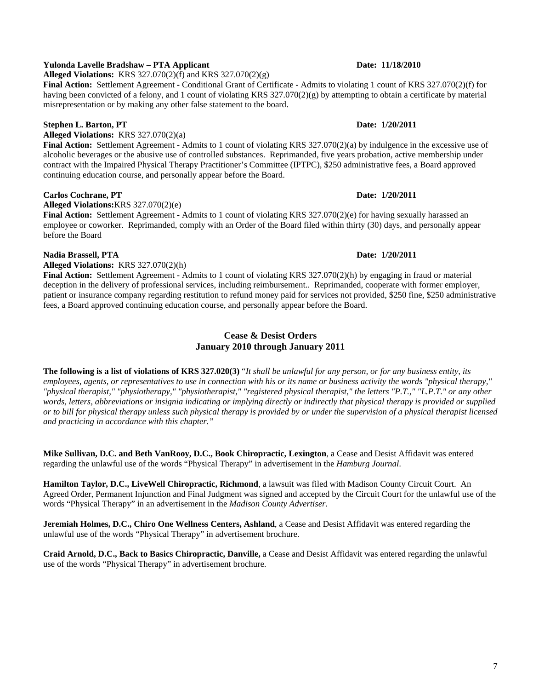#### **Yulonda Lavelle Bradshaw – PTA Applicant Date: 11/18/2010**

**Alleged Violations:** KRS 327.070(2)(f) and KRS 327.070(2)(g)

**Final Action:** Settlement Agreement **-** Conditional Grant of Certificate - Admits to violating 1 count of KRS 327.070(2)(f) for having been convicted of a felony, and 1 count of violating KRS 327.070(2)(g) by attempting to obtain a certificate by material misrepresentation or by making any other false statement to the board.

### **Stephen L. Barton, PT** Date: 1/20/2011

**Alleged Violations:** KRS 327.070(2)(a)

**Final Action:** Settlement Agreement - Admits to 1 count of violating KRS 327.070(2)(a) by indulgence in the excessive use of alcoholic beverages or the abusive use of controlled substances. Reprimanded, five years probation, active membership under contract with the Impaired Physical Therapy Practitioner's Committee (IPTPC), \$250 administrative fees, a Board approved continuing education course, and personally appear before the Board.

#### **Carlos Cochrane, PT** Date: 1/20/2011

**Alleged Violations:**KRS 327.070(2)(e)

**Final Action:** Settlement Agreement - Admits to 1 count of violating KRS 327.070(2)(e) for having sexually harassed an employee or coworker. Reprimanded, comply with an Order of the Board filed within thirty (30) days, and personally appear before the Board

#### **Nadia Brassell, PTA** Date: 1/20/2011

**Alleged Violations:** KRS 327.070(2)(h)

**Final Action:** Settlement Agreement - Admits to 1 count of violating KRS 327.070(2)(h) by engaging in fraud or material deception in the delivery of professional services, including reimbursement.. Reprimanded, cooperate with former employer, patient or insurance company regarding restitution to refund money paid for services not provided, \$250 fine, \$250 administrative fees, a Board approved continuing education course, and personally appear before the Board.

### **Cease & Desist Orders January 2010 through January 2011**

**The following is a list of violations of KRS 327.020(3)** "*It shall be unlawful for any person, or for any business entity, its employees, agents, or representatives to use in connection with his or its name or business activity the words "physical therapy," "physical therapist," "physiotherapy," "physiotherapist," "registered physical therapist," the letters "P.T.," "L.P.T." or any other words, letters, abbreviations or insignia indicating or implying directly or indirectly that physical therapy is provided or supplied or to bill for physical therapy unless such physical therapy is provided by or under the supervision of a physical therapist licensed and practicing in accordance with this chapter."* 

**Mike Sullivan, D.C. and Beth VanRooy, D.C., Book Chiropractic, Lexington**, a Cease and Desist Affidavit was entered regarding the unlawful use of the words "Physical Therapy" in advertisement in the *Hamburg Journal*.

**Hamilton Taylor, D.C., LiveWell Chiropractic, Richmond**, a lawsuit was filed with Madison County Circuit Court. An Agreed Order, Permanent Injunction and Final Judgment was signed and accepted by the Circuit Court for the unlawful use of the words "Physical Therapy" in an advertisement in the *Madison County Advertiser*.

**Jeremiah Holmes, D.C., Chiro One Wellness Centers, Ashland**, a Cease and Desist Affidavit was entered regarding the unlawful use of the words "Physical Therapy" in advertisement brochure.

**Craid Arnold, D.C., Back to Basics Chiropractic, Danville,** a Cease and Desist Affidavit was entered regarding the unlawful use of the words "Physical Therapy" in advertisement brochure.